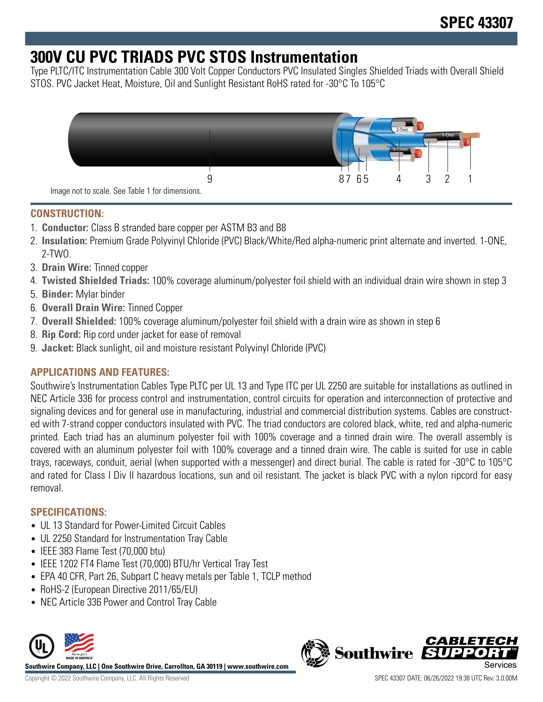# **300V CU PVC TRIADS PVC STOS Instrumentation**

Type PLTC/ITC Instrumentation Cable 300 Volt Copper Conductors PVC Insulated Singles Shielded Triads with Overall Shield STOS. PVC Jacket Heat, Moisture, Oil and Sunlight Resistant RoHS rated for -30°C To 105°C



## **CONSTRUCTION:**

- 1. **Conductor:** Class B stranded bare copper per ASTM B3 and B8
- 2. **Insulation:** Premium Grade Polyvinyl Chloride (PVC) Black/White/Red alpha-numeric print alternate and inverted. 1-ONE, 2-TWO.
- 3. **Drain Wire:** Tinned copper
- 4. **Twisted Shielded Triads:** 100% coverage aluminum/polyester foil shield with an individual drain wire shown in step 3
- 5. **Binder:** Mylar binder
- 6. **Overall Drain Wire:** Tinned Copper
- 7. **Overall Shielded:** 100% coverage aluminum/polyester foil shield with a drain wire as shown in step 6
- 8. **Rip Cord:** Rip cord under jacket for ease of removal
- 9. **Jacket:** Black sunlight, oil and moisture resistant Polyvinyl Chloride (PVC)

## **APPLICATIONS AND FEATURES:**

Southwire's Instrumentation Cables Type PLTC per UL 13 and Type ITC per UL 2250 are suitable for installations as outlined in NEC Article 336 for process control and instrumentation, control circuits for operation and interconnection of protective and signaling devices and for general use in manufacturing, industrial and commercial distribution systems. Cables are constructed with 7-strand copper conductors insulated with PVC. The triad conductors are colored black, white, red and alpha-numeric printed. Each triad has an aluminum polyester foil with 100% coverage and a tinned drain wire. The overall assembly is covered with an aluminum polyester foil with 100% coverage and a tinned drain wire. The cable is suited for use in cable trays, raceways, conduit, aerial (when supported with a messenger) and direct burial. The cable is rated for -30°C to 105°C and rated for Class I Div II hazardous locations, sun and oil resistant. The jacket is black PVC with a nylon ripcord for easy removal.

## **SPECIFICATIONS:**

- UL 13 Standard for Power-Limited Circuit Cables
- UL 2250 Standard for Instrumentation Tray Cable
- IEEE 383 Flame Test (70,000 btu)
- IEEE 1202 FT4 Flame Test (70,000) BTU/hr Vertical Tray Test
- EPA 40 CFR, Part 26, Subpart C heavy metals per Table 1, TCLP method
- RoHS-2 (European Directive 2011/65/EU)
- NEC Article 336 Power and Control Tray Cable



**Southwire Company, LLC | One Southwire Drive, Carrollton, GA 30119 | www.southwire.com**

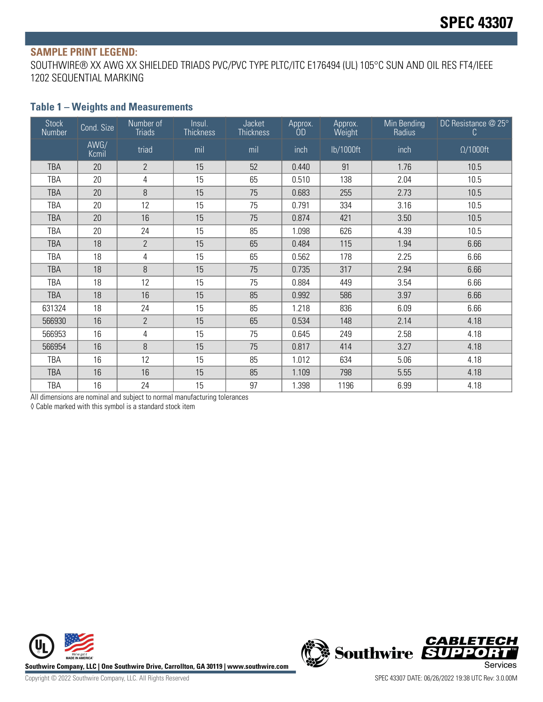#### **SAMPLE PRINT LEGEND:**

SOUTHWIRE® XX AWG XX SHIELDED TRIADS PVC/PVC TYPE PLTC/ITC E176494 (UL) 105°C SUN AND OIL RES FT4/IEEE 1202 SEQUENTIAL MARKING

## **Table 1 – Weights and Measurements**

| <b>Stock</b><br>Number | Cond. Size    | Number of<br><b>Triads</b> | Insul.<br><b>Thickness</b> | Jacket<br>Thickness | Approx.<br>ÒD | Approx.<br>Weight | Min Bending<br>Radius | DC Resistance @ 25°<br>C. |
|------------------------|---------------|----------------------------|----------------------------|---------------------|---------------|-------------------|-----------------------|---------------------------|
|                        | AWG/<br>Kcmil | triad                      | mil                        | mil                 | inch          | lb/1000ft         | inch                  | $\Omega/1000$ ft          |
| <b>TBA</b>             | 20            | $\overline{2}$             | 15                         | 52                  | 0.440         | 91                | 1.76                  | 10.5                      |
| TBA                    | 20            | 4                          | 15                         | 65                  | 0.510         | 138               | 2.04                  | 10.5                      |
| <b>TBA</b>             | 20            | 8                          | 15                         | 75                  | 0.683         | 255               | 2.73                  | 10.5                      |
| TBA                    | 20            | 12                         | 15                         | 75                  | 0.791         | 334               | 3.16                  | 10.5                      |
| <b>TBA</b>             | 20            | 16                         | 15                         | 75                  | 0.874         | 421               | 3.50                  | 10.5                      |
| TBA                    | 20            | 24                         | 15                         | 85                  | 1.098         | 626               | 4.39                  | 10.5                      |
| <b>TBA</b>             | 18            | $\overline{2}$             | 15                         | 65                  | 0.484         | 115               | 1.94                  | 6.66                      |
| TBA                    | 18            | 4                          | 15                         | 65                  | 0.562         | 178               | 2.25                  | 6.66                      |
| <b>TBA</b>             | 18            | 8                          | 15                         | 75                  | 0.735         | 317               | 2.94                  | 6.66                      |
| <b>TBA</b>             | 18            | 12                         | 15                         | 75                  | 0.884         | 449               | 3.54                  | 6.66                      |
| <b>TBA</b>             | 18            | 16                         | 15                         | 85                  | 0.992         | 586               | 3.97                  | 6.66                      |
| 631324                 | 18            | 24                         | 15                         | 85                  | 1.218         | 836               | 6.09                  | 6.66                      |
| 566930                 | 16            | $\overline{2}$             | 15                         | 65                  | 0.534         | 148               | 2.14                  | 4.18                      |
| 566953                 | 16            | 4                          | 15                         | 75                  | 0.645         | 249               | 2.58                  | 4.18                      |
| 566954                 | 16            | 8                          | 15                         | 75                  | 0.817         | 414               | 3.27                  | 4.18                      |
| <b>TBA</b>             | 16            | 12                         | 15                         | 85                  | 1.012         | 634               | 5.06                  | 4.18                      |
| <b>TBA</b>             | 16            | 16                         | 15                         | 85                  | 1.109         | 798               | 5.55                  | 4.18                      |
| <b>TBA</b>             | 16            | 24                         | 15                         | 97                  | 1.398         | 1196              | 6.99                  | 4.18                      |

All dimensions are nominal and subject to normal manufacturing tolerances

◊ Cable marked with this symbol is a standard stock item



**CABLETECH**